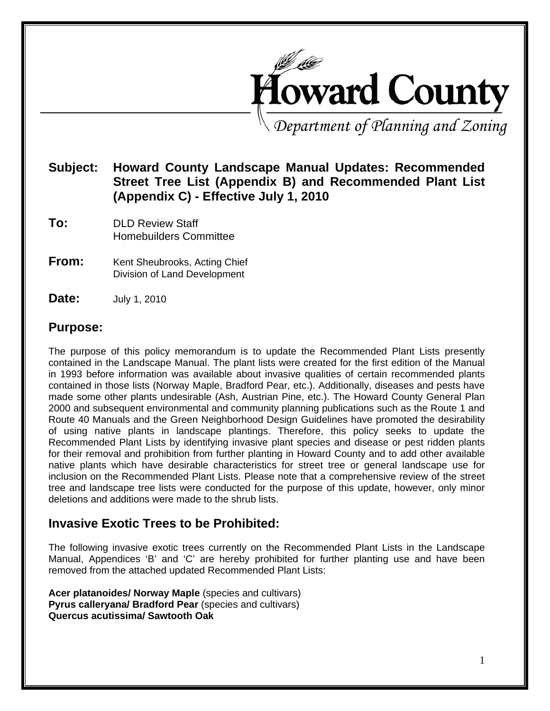

*Department of Planning and Zoning* 

### **Subject:****Howard County Landscape Manual Updates: Recommended Street Tree List (Appendix B) and Recommended Plant List (Appendix C) - Effective July 1, 2010**

- **To:** DLD Review Staff Homebuilders Committee
- **From:** Kent Sheubrooks, Acting Chief Division of Land Development
- **Date: July 1, 2010**

### **Purpose:**

The purpose of this policy memorandum is to update the Recommended Plant Lists presently contained in the Landscape Manual. The plant lists were created for the first edition of the Manual in 1993 before information was available about invasive qualities of certain recommended plants contained in those lists (Norway Maple, Bradford Pear, etc.). Additionally, diseases and pests have made some other plants undesirable (Ash, Austrian Pine, etc.). The Howard County General Plan 2000 and subsequent environmental and community planning publications such as the Route 1 and Route 40 Manuals and the Green Neighborhood Design Guidelines have promoted the desirability of using native plants in landscape plantings. Therefore, this policy seeks to update the Recommended Plant Lists by identifying invasive plant species and disease or pest ridden plants for their removal and prohibition from further planting in Howard County and to add other available native plants which have desirable characteristics for street tree or general landscape use for inclusion on the Recommended Plant Lists. Please note that a comprehensive review of the street tree and landscape tree lists were conducted for the purpose of this update, however, only minor deletions and additions were made to the shrub lists.

### **Invasive Exotic Trees to be Prohibited:**

The following invasive exotic trees currently on the Recommended Plant Lists in the Landscape Manual, Appendices 'B' and 'C' are hereby prohibited for further planting use and have been removed from the attached updated Recommended Plant Lists:

**Acer platanoides/ Norway Maple** (species and cultivars) **Pyrus calleryana/ Bradford Pear** (species and cultivars) **Quercus acutissima/ Sawtooth Oak**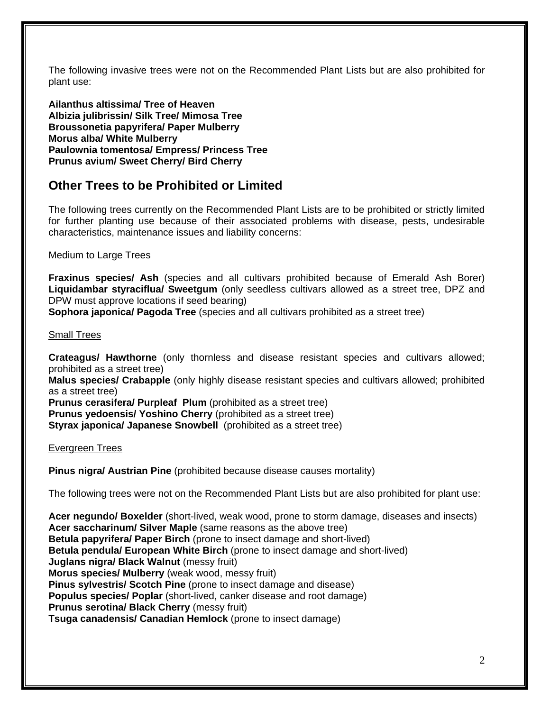The following invasive trees were not on the Recommended Plant Lists but are also prohibited for plant use:

**Ailanthus altissima/ Tree of Heaven Albizia julibrissin/ Silk Tree/ Mimosa Tree Broussonetia papyrifera/ Paper Mulberry Morus alba/ White Mulberry Paulownia tomentosa/ Empress/ Princess Tree Prunus avium/ Sweet Cherry/ Bird Cherry** 

## **Other Trees to be Prohibited or Limited**

The following trees currently on the Recommended Plant Lists are to be prohibited or strictly limited for further planting use because of their associated problems with disease, pests, undesirable characteristics, maintenance issues and liability concerns:

#### Medium to Large Trees

**Fraxinus species/ Ash** (species and all cultivars prohibited because of Emerald Ash Borer) **Liquidambar styraciflua/ Sweetgum** (only seedless cultivars allowed as a street tree, DPZ and DPW must approve locations if seed bearing)

**Sophora japonica/ Pagoda Tree** (species and all cultivars prohibited as a street tree)

#### Small Trees

**Crateagus/ Hawthorne** (only thornless and disease resistant species and cultivars allowed; prohibited as a street tree)

**Malus species/ Crabapple** (only highly disease resistant species and cultivars allowed; prohibited as a street tree)

**Prunus cerasifera/ Purpleaf Plum** (prohibited as a street tree)

**Prunus yedoensis/ Yoshino Cherry** (prohibited as a street tree)

**Styrax japonica/ Japanese Snowbell** (prohibited as a street tree)

Evergreen Trees

**Pinus nigra/ Austrian Pine** (prohibited because disease causes mortality)

The following trees were not on the Recommended Plant Lists but are also prohibited for plant use:

**Acer negundo/ Boxelder** (short-lived, weak wood, prone to storm damage, diseases and insects) **Acer saccharinum/ Silver Maple** (same reasons as the above tree) **Betula papyrifera/ Paper Birch** (prone to insect damage and short-lived) **Betula pendula/ European White Birch** (prone to insect damage and short-lived) **Juglans nigra/ Black Walnut** (messy fruit) **Morus species/ Mulberry** (weak wood, messy fruit) **Pinus sylvestris/ Scotch Pine** (prone to insect damage and disease) **Populus species/ Poplar** (short-lived, canker disease and root damage) **Prunus serotina/ Black Cherry** (messy fruit) **Tsuga canadensis/ Canadian Hemlock** (prone to insect damage)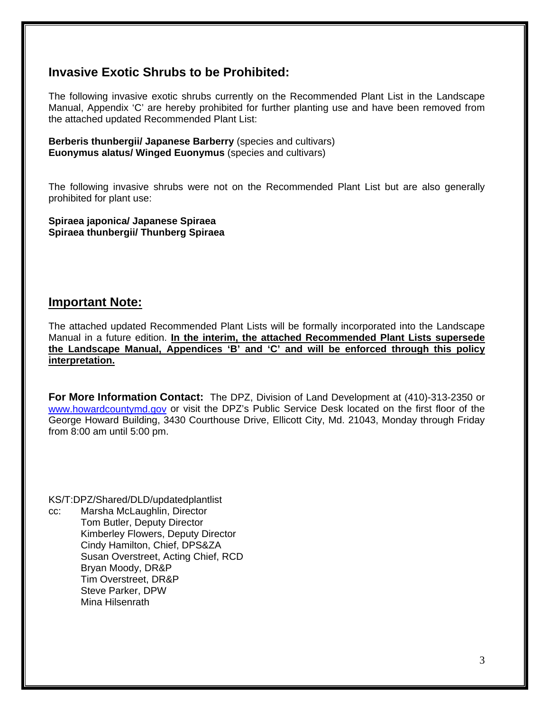### **Invasive Exotic Shrubs to be Prohibited:**

The following invasive exotic shrubs currently on the Recommended Plant List in the Landscape Manual, Appendix 'C' are hereby prohibited for further planting use and have been removed from the attached updated Recommended Plant List:

**Berberis thunbergii/ Japanese Barberry** (species and cultivars) **Euonymus alatus/ Winged Euonymus** (species and cultivars)

The following invasive shrubs were not on the Recommended Plant List but are also generally prohibited for plant use:

**Spiraea japonica/ Japanese Spiraea Spiraea thunbergii/ Thunberg Spiraea** 

### **Important Note:**

The attached updated Recommended Plant Lists will be formally incorporated into the Landscape Manual in a future edition. **In the interim, the attached Recommended Plant Lists supersede the Landscape Manual, Appendices 'B' and 'C' and will be enforced through this policy interpretation.** 

**For More Information Contact:** The DPZ, Division of Land Development at (410)-313-2350 or www.howardcountymd.gov or visit the DPZ's Public Service Desk located on the first floor of the George Howard Building, 3430 Courthouse Drive, Ellicott City, Md. 21043, Monday through Friday from 8:00 am until 5:00 pm.

KS/T:DPZ/Shared/DLD/updatedplantlist cc: Marsha McLaughlin, Director Tom Butler, Deputy Director Kimberley Flowers, Deputy Director Cindy Hamilton, Chief, DPS&ZA Susan Overstreet, Acting Chief, RCD Bryan Moody, DR&P Tim Overstreet, DR&P Steve Parker, DPW Mina Hilsenrath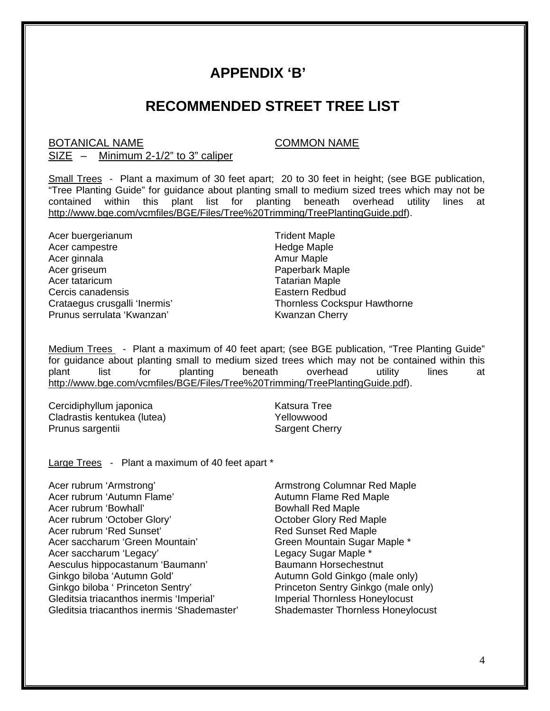# **APPENDIX 'B'**

# **RECOMMENDED STREET TREE LIST**

### BOTANICAL NAME COMMON NAME

### SIZE – Minimum 2-1/2" to 3" caliper

Small Trees - Plant a maximum of 30 feet apart; 20 to 30 feet in height; (see BGE publication, "Tree Planting Guide" for guidance about planting small to medium sized trees which may not be contained within this plant list for planting beneath overhead utility lines at http://www.bge.com/vcmfiles/BGE/Files/Tree%20Trimming/TreePlantingGuide.pdf).

Acer buergerianum Trident Maple Acer campestre **Hedge Maple** Acer ginnala **Amur Maple** Acer griseum **Paperbark Maple** Acer tataricum and the contract of the Tatarian Maple Cercis canadensis Eastern Redbud Prunus serrulata 'Kwanzan' Kwanzan Kwanzan Cherry

Crataegus crusgalli 'Inermis' Thornless Cockspur Hawthorne

Medium Trees - Plant a maximum of 40 feet apart; (see BGE publication, "Tree Planting Guide" for guidance about planting small to medium sized trees which may not be contained within this plant list for planting beneath overhead utility lines at http://www.bge.com/vcmfiles/BGE/Files/Tree%20Trimming/TreePlantingGuide.pdf).

Cercidiphyllum japonica Katsura Tree Cladrastis kentukea (lutea) Wellowwood Prunus sargentii Sargent Cherry

Large Trees - Plant a maximum of 40 feet apart \*

Acer rubrum 'Armstrong' and a series are all the Armstrong Columnar Red Maple Acer rubrum 'Autumn Flame' Autumn Flame Red Maple Acer rubrum 'Bowhall' Bowhall Red Maple Acer rubrum 'October Glory' Carlo Bottober Glory Red Maple<br>Acer rubrum 'Red Sunset' Carlo Bottom Red Sunset Red Maple **Red Sunset Red Maple** Acer saccharum 'Green Mountain' Green Mountain Green Mountain Sugar Maple \*<br>Acer saccharum 'Legacy' Green Green Countain Sugar Maple \* Acer saccharum 'Legacy' Aesculus hippocastanum 'Baumann' Baumann Horsechestnut Ginkgo biloba 'Autumn Gold' Autumn Gold Ginkgo (male only) Ginkgo biloba ' Princeton Sentry' Princeton Sentry Ginkgo (male only) Gleditsia triacanthos inermis 'Imperial' Imperial Thornless Honeylocust Gleditsia triacanthos inermis 'Shademaster' Shademaster Thornless Honeylocust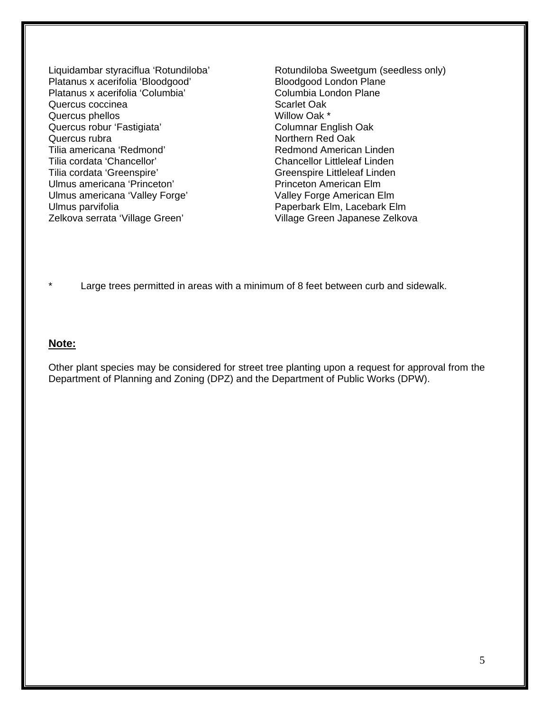Platanus x acerifolia 'Bloodgood' Bloodgood London Plane Platanus x acerifolia 'Columbia' Columbia Columbia London Plane<br>Quercus coccinea Columbia' Scarlet Oak Quercus coccinea Quercus phellos **Willow Oak \*** Quercus robur 'Fastigiata' Columnar English Oak Quercus rubra Northern Red Oak Tilia americana 'Redmond' **Redmond American Linden** Tilia cordata 'Chancellor' Chancellor Littleleaf Linden Tilia cordata 'Greenspire' Greenspire Littleleaf Linden Ulmus americana 'Princeton' Princeton Princeton American Elm Ulmus americana 'Valley Forge' Valley Forge American Elm Ulmus parvifolia **Paperbark Elm, Lacebark Elm** Zelkova serrata 'Village Green' village Green Japanese Zelkova

Liquidambar styraciflua 'Rotundiloba' Rotundiloba Sweetgum (seedless only)

Large trees permitted in areas with a minimum of 8 feet between curb and sidewalk.

#### **Note:**

Other plant species may be considered for street tree planting upon a request for approval from the Department of Planning and Zoning (DPZ) and the Department of Public Works (DPW).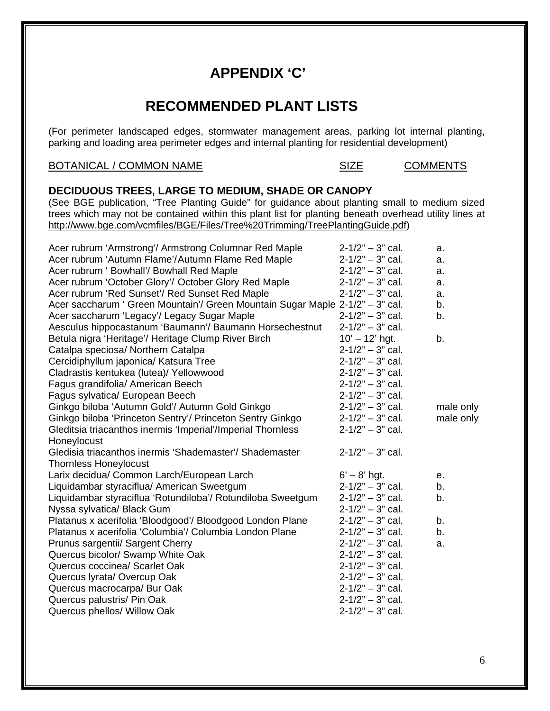# **APPENDIX 'C'**

# **RECOMMENDED PLANT LISTS**

(For perimeter landscaped edges, stormwater management areas, parking lot internal planting, parking and loading area perimeter edges and internal planting for residential development)

#### BOTANICAL / COMMON NAME SIZE SIZE COMMENTS

#### **DECIDUOUS TREES, LARGE TO MEDIUM, SHADE OR CANOPY**

(See BGE publication, "Tree Planting Guide" for guidance about planting small to medium sized trees which may not be contained within this plant list for planting beneath overhead utility lines at http://www.bge.com/vcmfiles/BGE/Files/Tree%20Trimming/TreePlantingGuide.pdf)

| Acer rubrum 'Armstrong'/ Armstrong Columnar Red Maple                         | $2 - 1/2" - 3"$ cal. | a.        |
|-------------------------------------------------------------------------------|----------------------|-----------|
| Acer rubrum 'Autumn Flame'/Autumn Flame Red Maple                             | $2 - 1/2" - 3"$ cal. | a.        |
| Acer rubrum ' Bowhall'/ Bowhall Red Maple                                     | $2 - 1/2" - 3"$ cal. | a.        |
| Acer rubrum 'October Glory'/ October Glory Red Maple                          | $2 - 1/2" - 3"$ cal. | a.        |
| Acer rubrum 'Red Sunset'/ Red Sunset Red Maple                                | $2 - 1/2" - 3"$ cal. | a.        |
| Acer saccharum ' Green Mountain'/ Green Mountain Sugar Maple 2-1/2" - 3" cal. |                      | b.        |
| Acer saccharum 'Legacy'/ Legacy Sugar Maple                                   | $2 - 1/2" - 3"$ cal. | b.        |
| Aesculus hippocastanum 'Baumann'/ Baumann Horsechestnut                       | $2 - 1/2" - 3"$ cal. |           |
| Betula nigra 'Heritage'/ Heritage Clump River Birch                           | $10' - 12'$ hgt.     | b.        |
| Catalpa speciosa/ Northern Catalpa                                            | $2 - 1/2" - 3"$ cal. |           |
| Cercidiphyllum japonica/ Katsura Tree                                         | $2 - 1/2" - 3"$ cal. |           |
| Cladrastis kentukea (lutea)/ Yellowwood                                       | $2 - 1/2" - 3"$ cal. |           |
| Fagus grandifolia/ American Beech                                             | $2 - 1/2" - 3"$ cal. |           |
| Fagus sylvatica/ European Beech                                               | $2 - 1/2" - 3"$ cal. |           |
| Ginkgo biloba 'Autumn Gold'/ Autumn Gold Ginkgo                               | $2 - 1/2" - 3"$ cal. | male only |
| Ginkgo biloba 'Princeton Sentry'/ Princeton Sentry Ginkgo                     | $2 - 1/2" - 3"$ cal. | male only |
| Gleditsia triacanthos inermis 'Imperial'/Imperial Thornless                   | $2 - 1/2" - 3"$ cal. |           |
| Honeylocust                                                                   |                      |           |
| Gledisia triacanthos inermis 'Shademaster'/ Shademaster                       | $2 - 1/2" - 3"$ cal. |           |
| <b>Thornless Honeylocust</b>                                                  |                      |           |
| Larix decidua/ Common Larch/European Larch                                    | $6' - 8'$ hgt.       | е.        |
| Liquidambar styraciflua/ American Sweetgum                                    | $2 - 1/2" - 3"$ cal. | b.        |
| Liquidambar styraciflua 'Rotundiloba'/ Rotundiloba Sweetgum                   | $2 - 1/2" - 3"$ cal. | b.        |
| Nyssa sylvatica/ Black Gum                                                    | $2 - 1/2" - 3"$ cal. |           |
| Platanus x acerifolia 'Bloodgood'/ Bloodgood London Plane                     | $2 - 1/2" - 3"$ cal. | b.        |
| Platanus x acerifolia 'Columbia'/ Columbia London Plane                       | $2 - 1/2" - 3"$ cal. | b.        |
| Prunus sargentii/ Sargent Cherry                                              | $2 - 1/2" - 3"$ cal. | a.        |
| Quercus bicolor/ Swamp White Oak                                              | $2 - 1/2" - 3"$ cal. |           |
| Quercus coccinea/ Scarlet Oak                                                 | $2 - 1/2" - 3"$ cal. |           |
| Quercus lyrata/ Overcup Oak                                                   | $2 - 1/2" - 3"$ cal. |           |
| Quercus macrocarpa/ Bur Oak                                                   | $2 - 1/2" - 3"$ cal. |           |
| Quercus palustris/ Pin Oak                                                    | $2 - 1/2" - 3"$ cal. |           |
| Quercus phellos/ Willow Oak                                                   | $2 - 1/2" - 3"$ cal. |           |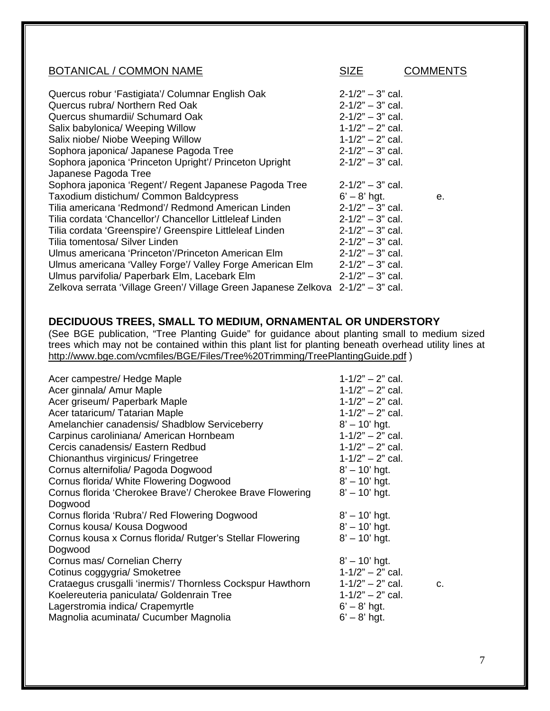| <b>BOTANICAL / COMMON NAME</b>                                                   | <b>SIZE</b>          | COMMENTS |
|----------------------------------------------------------------------------------|----------------------|----------|
| Quercus robur 'Fastigiata'/ Columnar English Oak                                 | $2 - 1/2" - 3"$ cal. |          |
| Quercus rubra/ Northern Red Oak                                                  | $2 - 1/2" - 3"$ cal. |          |
| Quercus shumardii/ Schumard Oak                                                  | $2 - 1/2" - 3"$ cal. |          |
| Salix babylonica/ Weeping Willow                                                 | $1 - 1/2" - 2"$ cal. |          |
| Salix niobe/ Niobe Weeping Willow                                                | $1 - 1/2" - 2"$ cal. |          |
| Sophora japonica/ Japanese Pagoda Tree                                           | $2 - 1/2" - 3"$ cal. |          |
| Sophora japonica 'Princeton Upright'/ Princeton Upright                          | $2 - 1/2" - 3"$ cal. |          |
| Japanese Pagoda Tree                                                             |                      |          |
| Sophora japonica 'Regent'/ Regent Japanese Pagoda Tree                           | $2 - 1/2" - 3"$ cal. |          |
| Taxodium distichum/ Common Baldcypress                                           | $6' - 8'$ hgt.       | е.       |
| Tilia americana 'Redmond'/ Redmond American Linden                               | $2 - 1/2" - 3"$ cal. |          |
| Tilia cordata 'Chancellor'/ Chancellor Littleleaf Linden                         | $2 - 1/2" - 3"$ cal. |          |
| Tilia cordata 'Greenspire'/ Greenspire Littleleaf Linden                         | $2 - 1/2" - 3"$ cal. |          |
| Tilia tomentosa/ Silver Linden                                                   | $2 - 1/2" - 3"$ cal. |          |
| Ulmus americana 'Princeton'/Princeton American Elm                               | $2 - 1/2" - 3"$ cal. |          |
| Ulmus americana 'Valley Forge'/ Valley Forge American Elm                        | $2 - 1/2" - 3"$ cal. |          |
| Ulmus parvifolia/ Paperbark Elm, Lacebark Elm                                    | $2 - 1/2" - 3"$ cal. |          |
| Zelkova serrata 'Village Green'/ Village Green Japanese Zelkova 2-1/2" - 3" cal. |                      |          |

#### **DECIDUOUS TREES, SMALL TO MEDIUM, ORNAMENTAL OR UNDERSTORY**

(See BGE publication, "Tree Planting Guide" for guidance about planting small to medium sized trees which may not be contained within this plant list for planting beneath overhead utility lines at http://www.bge.com/vcmfiles/BGE/Files/Tree%20Trimming/TreePlantingGuide.pdf )

| Acer campestre/ Hedge Maple<br>Acer ginnala/ Amur Maple<br>Acer griseum/ Paperbark Maple<br>Acer tataricum/ Tatarian Maple<br>Amelanchier canadensis/ Shadblow Serviceberry<br>Carpinus caroliniana/ American Hornbeam<br>Cercis canadensis/ Eastern Redbud<br>Chionanthus virginicus/ Fringetree<br>Cornus alternifolia/ Pagoda Dogwood<br>Cornus florida/ White Flowering Dogwood<br>Cornus florida 'Cherokee Brave'/ Cherokee Brave Flowering | $1 - 1/2" - 2"$ cal.<br>$1 - 1/2" - 2"$ cal.<br>$1 - 1/2" - 2"$ cal.<br>$1 - 1/2" - 2"$ cal.<br>$8' - 10'$ hgt.<br>$1 - 1/2" - 2"$ cal.<br>$1 - 1/2" - 2"$ cal.<br>$1 - 1/2" - 2"$ cal.<br>$8' - 10'$ hgt.<br>$8' - 10'$ hgt.<br>$8' - 10'$ hgt. |    |
|--------------------------------------------------------------------------------------------------------------------------------------------------------------------------------------------------------------------------------------------------------------------------------------------------------------------------------------------------------------------------------------------------------------------------------------------------|--------------------------------------------------------------------------------------------------------------------------------------------------------------------------------------------------------------------------------------------------|----|
| Dogwood<br>Cornus florida 'Rubra'/ Red Flowering Dogwood<br>Cornus kousa/ Kousa Dogwood<br>Cornus kousa x Cornus florida/ Rutger's Stellar Flowering<br>Dogwood<br>Cornus mas/ Cornelian Cherry<br>Cotinus coggygria/ Smoketree<br>Crataegus crusgalli 'inermis'/ Thornless Cockspur Hawthorn<br>Koelereuteria paniculata/ Goldenrain Tree<br>Lagerstromia indica/ Crapemyrtle<br>Magnolia acuminata/ Cucumber Magnolia                          | $8' - 10'$ hgt.<br>$8' - 10'$ hgt.<br>$8' - 10'$ hgt.<br>$8' - 10'$ hgt.<br>$1 - 1/2" - 2"$ cal.<br>$1 - 1/2" - 2"$ cal.<br>$1 - 1/2" - 2"$ cal.<br>$6' - 8'$ hgt.<br>$6' - 8'$ hgt.                                                             | C. |

7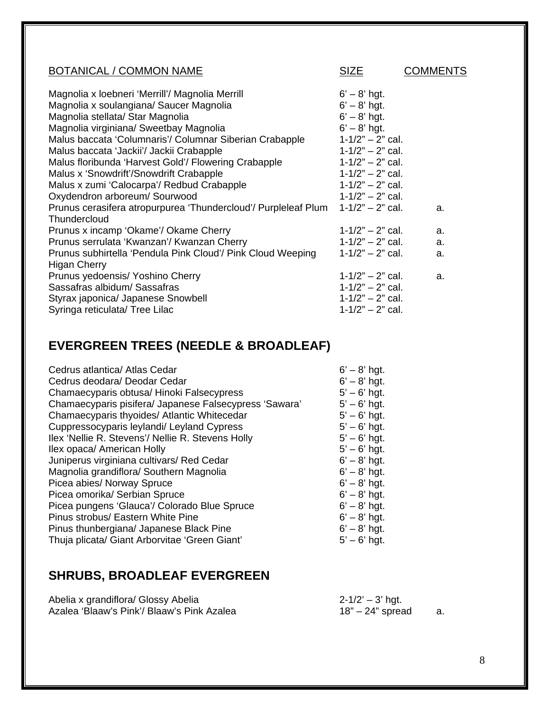| <b>BOTANICAL / COMMON NAME</b>                                 | <b>SIZE</b>          | COMMENTS |
|----------------------------------------------------------------|----------------------|----------|
| Magnolia x loebneri 'Merrill'/ Magnolia Merrill                | $6' - 8'$ hgt.       |          |
| Magnolia x soulangiana/ Saucer Magnolia                        | $6' - 8'$ hgt.       |          |
| Magnolia stellata/ Star Magnolia                               | $6' - 8'$ hgt.       |          |
| Magnolia virginiana/ Sweetbay Magnolia                         | $6' - 8'$ hgt.       |          |
| Malus baccata 'Columnaris'/ Columnar Siberian Crabapple        | $1 - 1/2" - 2"$ cal. |          |
| Malus baccata 'Jackii'/ Jackii Crabapple                       | $1 - 1/2" - 2"$ cal. |          |
| Malus floribunda 'Harvest Gold'/ Flowering Crabapple           | $1 - 1/2" - 2"$ cal. |          |
| Malus x 'Snowdrift'/Snowdrift Crabapple                        | $1 - 1/2" - 2"$ cal. |          |
| Malus x zumi 'Calocarpa'/ Redbud Crabapple                     | $1 - 1/2" - 2"$ cal. |          |
| Oxydendron arboreum/ Sourwood                                  | $1 - 1/2" - 2"$ cal. |          |
| Prunus cerasifera atropurpurea 'Thundercloud'/ Purpleleaf Plum | $1 - 1/2" - 2"$ cal. | a.       |
| Thundercloud                                                   |                      |          |
| Prunus x incamp 'Okame'/ Okame Cherry                          | $1 - 1/2" - 2"$ cal. | a.       |
| Prunus serrulata 'Kwanzan'/ Kwanzan Cherry                     | $1 - 1/2" - 2"$ cal. | a.       |
| Prunus subhirtella 'Pendula Pink Cloud'/ Pink Cloud Weeping    | $1 - 1/2" - 2"$ cal. | a.       |
| Higan Cherry                                                   |                      |          |
| Prunus yedoensis/ Yoshino Cherry                               | $1 - 1/2" - 2"$ cal. | a.       |
| Sassafras albidum/ Sassafras                                   | $1 - 1/2" - 2"$ cal. |          |
| Styrax japonica/ Japanese Snowbell                             | $1 - 1/2" - 2"$ cal. |          |
| Syringa reticulata/ Tree Lilac                                 | $1 - 1/2" - 2"$ cal. |          |
|                                                                |                      |          |

# **EVERGREEN TREES (NEEDLE & BROADLEAF)**

| $6' - 8'$ hgt. |
|----------------|
| $6' - 8'$ hgt. |
| $5' - 6'$ hgt. |
| $5' - 6'$ hgt. |
| $5' - 6'$ hgt. |
| $5' - 6'$ hgt. |
| $5' - 6'$ hgt. |
| $5' - 6'$ hgt. |
| $6' - 8'$ hgt. |
| $6' - 8'$ hgt. |
| $6' - 8'$ hgt. |
| $6' - 8'$ hgt. |
| $6' - 8'$ hgt. |
| $6' - 8'$ hgt. |
| $6' - 8'$ hgt. |
| $5' - 6'$ hgt. |
|                |

# **SHRUBS, BROADLEAF EVERGREEN**

| Abelia x grandiflora/ Glossy Abelia        | $2 - 1/2' - 3'$ hgt. |  |
|--------------------------------------------|----------------------|--|
| Azalea 'Blaaw's Pink'/ Blaaw's Pink Azalea | 18" – 24" spread     |  |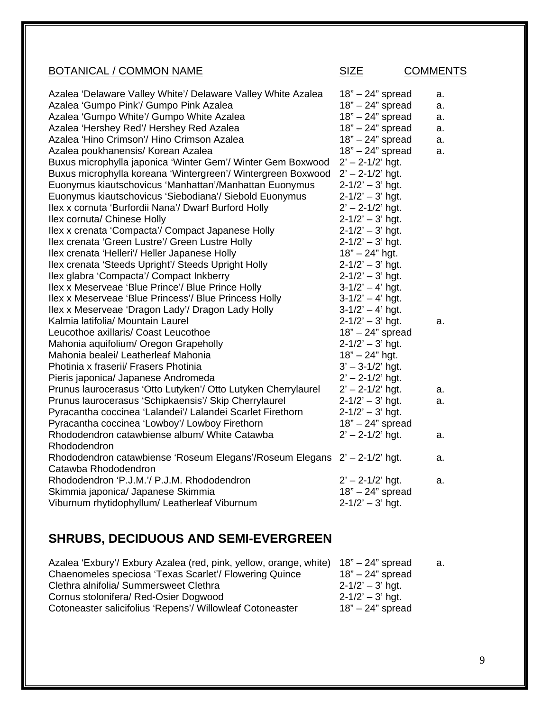| <b>BOTANICAL / COMMON NAME</b>                                            | <b>SIZE</b>          | <b>COMMENTS</b> |
|---------------------------------------------------------------------------|----------------------|-----------------|
| Azalea 'Delaware Valley White'/ Delaware Valley White Azalea              | $18" - 24"$ spread   | a.              |
| Azalea 'Gumpo Pink'/ Gumpo Pink Azalea                                    | $18" - 24"$ spread   | a.              |
| Azalea 'Gumpo White'/ Gumpo White Azalea                                  | 18" - 24" spread     | a.              |
| Azalea 'Hershey Red'/ Hershey Red Azalea                                  | 18" - 24" spread     | a.              |
| Azalea 'Hino Crimson'/ Hino Crimson Azalea                                | 18" - 24" spread     | a.              |
| Azalea poukhanensis/ Korean Azalea                                        | $18" - 24"$ spread   | a.              |
| Buxus microphylla japonica 'Winter Gem'/ Winter Gem Boxwood               | $2' - 2 - 1/2'$ hgt. |                 |
| Buxus microphylla koreana 'Wintergreen'/ Wintergreen Boxwood              | $2' - 2 - 1/2'$ hgt. |                 |
| Euonymus kiautschovicus 'Manhattan'/Manhattan Euonymus                    | $2 - 1/2' - 3'$ hgt. |                 |
| Euonymus kiautschovicus 'Siebodiana'/ Siebold Euonymus                    | $2 - 1/2' - 3'$ hgt. |                 |
| Ilex x cornuta 'Burfordii Nana'/ Dwarf Burford Holly                      | $2' - 2 - 1/2'$ hgt. |                 |
| Ilex cornuta/ Chinese Holly                                               | $2 - 1/2' - 3'$ hgt. |                 |
| Ilex x crenata 'Compacta'/ Compact Japanese Holly                         | $2 - 1/2' - 3'$ hgt. |                 |
| Ilex crenata 'Green Lustre'/ Green Lustre Holly                           | $2 - 1/2' - 3'$ hgt. |                 |
| Ilex crenata 'Helleri'/ Heller Japanese Holly                             | $18" - 24"$ hgt.     |                 |
| Ilex crenata 'Steeds Upright'/ Steeds Upright Holly                       | $2 - 1/2' - 3'$ hgt. |                 |
| Ilex glabra 'Compacta'/ Compact Inkberry                                  | $2 - 1/2' - 3'$ hgt. |                 |
| Ilex x Meserveae 'Blue Prince'/ Blue Prince Holly                         | $3-1/2' - 4'$ hgt.   |                 |
| Ilex x Meserveae 'Blue Princess'/ Blue Princess Holly                     | $3-1/2' - 4'$ hgt.   |                 |
| Ilex x Meserveae 'Dragon Lady'/ Dragon Lady Holly                         | $3-1/2' - 4'$ hgt.   |                 |
| Kalmia latifolia/ Mountain Laurel                                         | $2 - 1/2' - 3'$ hgt. | a.              |
| Leucothoe axillaris/ Coast Leucothoe                                      | $18" - 24"$ spread   |                 |
| Mahonia aquifolium/ Oregon Grapeholly                                     | $2 - 1/2' - 3'$ hgt. |                 |
| Mahonia bealei/ Leatherleaf Mahonia                                       | $18" - 24"$ hgt.     |                 |
| Photinia x fraserii/ Frasers Photinia                                     | $3' - 3 - 1/2'$ hgt. |                 |
| Pieris japonica/ Japanese Andromeda                                       | $2' - 2 - 1/2'$ hgt. |                 |
| Prunus laurocerasus 'Otto Lutyken'/ Otto Lutyken Cherrylaurel             | $2' - 2 - 1/2'$ hgt. | a.              |
| Prunus laurocerasus 'Schipkaensis'/ Skip Cherrylaurel                     | $2 - 1/2' - 3'$ hgt. | a.              |
| Pyracantha coccinea 'Lalandei'/ Lalandei Scarlet Firethorn                | $2 - 1/2' - 3'$ hgt. |                 |
| Pyracantha coccinea 'Lowboy'/ Lowboy Firethorn                            | $18" - 24"$ spread   |                 |
| Rhododendron catawbiense album/ White Catawba                             | $2' - 2 - 1/2'$ hgt. | a.              |
| Rhododendron                                                              |                      |                 |
| Rhododendron catawbiense 'Roseum Elegans'/Roseum Elegans 2' - 2-1/2' hgt. |                      | a.              |
| Catawba Rhododendron                                                      |                      |                 |
| Rhododendron 'P.J.M.'/ P.J.M. Rhododendron                                | $2' - 2 - 1/2'$ hgt. | a.              |
| Skimmia japonica/ Japanese Skimmia                                        | $18" - 24"$ spread   |                 |
| Viburnum rhytidophyllum/ Leatherleaf Viburnum                             | $2 - 1/2' - 3'$ hgt. |                 |

# **SHRUBS, DECIDUOUS AND SEMI-EVERGREEN**

| Azalea 'Exbury'/ Exbury Azalea (red, pink, yellow, orange, white) 18" - 24" spread |                      | а. |
|------------------------------------------------------------------------------------|----------------------|----|
| Chaenomeles speciosa 'Texas Scarlet'/ Flowering Quince                             | $18" - 24"$ spread   |    |
| Clethra alnifolia/ Summersweet Clethra                                             | $2 - 1/2' - 3'$ hgt. |    |
| Cornus stolonifera/ Red-Osier Dogwood                                              | $2 - 1/2' - 3'$ hgt. |    |
| Cotoneaster salicifolius 'Repens'/ Willowleaf Cotoneaster                          | $18" - 24"$ spread   |    |